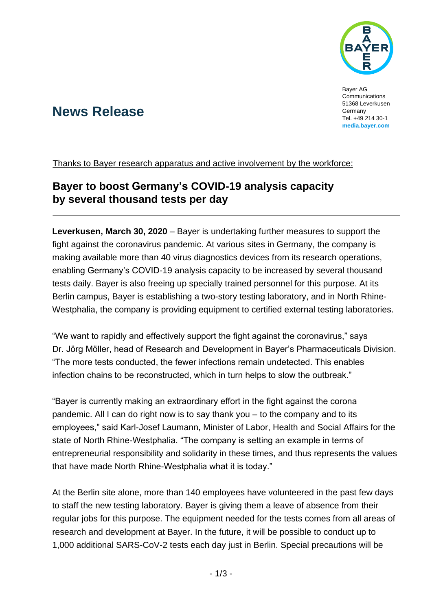

Bayer AG Communications 51368 Leverkusen Germany Tel. +49 214 30-1 **[media.bayer.com](http://media.bayer.de/)**

# **News Release**

Thanks to Bayer research apparatus and active involvement by the workforce:

## **Bayer to boost Germany's COVID-19 analysis capacity by several thousand tests per day**

**Leverkusen, March 30, 2020** – Bayer is undertaking further measures to support the fight against the coronavirus pandemic. At various sites in Germany, the company is making available more than 40 virus diagnostics devices from its research operations, enabling Germany's COVID-19 analysis capacity to be increased by several thousand tests daily. Bayer is also freeing up specially trained personnel for this purpose. At its Berlin campus, Bayer is establishing a two-story testing laboratory, and in North Rhine-Westphalia, the company is providing equipment to certified external testing laboratories.

"We want to rapidly and effectively support the fight against the coronavirus," says Dr. Jörg Möller, head of Research and Development in Bayer's Pharmaceuticals Division. "The more tests conducted, the fewer infections remain undetected. This enables infection chains to be reconstructed, which in turn helps to slow the outbreak."

"Bayer is currently making an extraordinary effort in the fight against the corona pandemic. All I can do right now is to say thank you – to the company and to its employees," said Karl-Josef Laumann, Minister of Labor, Health and Social Affairs for the state of North Rhine-Westphalia. "The company is setting an example in terms of entrepreneurial responsibility and solidarity in these times, and thus represents the values that have made North Rhine-Westphalia what it is today."

At the Berlin site alone, more than 140 employees have volunteered in the past few days to staff the new testing laboratory. Bayer is giving them a leave of absence from their regular jobs for this purpose. The equipment needed for the tests comes from all areas of research and development at Bayer. In the future, it will be possible to conduct up to 1,000 additional SARS-CoV-2 tests each day just in Berlin. Special precautions will be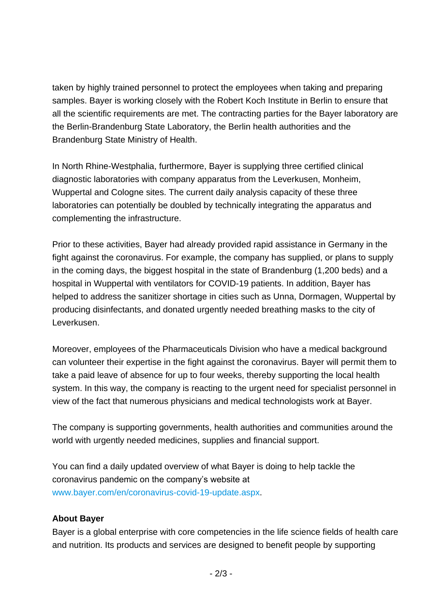taken by highly trained personnel to protect the employees when taking and preparing samples. Bayer is working closely with the Robert Koch Institute in Berlin to ensure that all the scientific requirements are met. The contracting parties for the Bayer laboratory are the Berlin-Brandenburg State Laboratory, the Berlin health authorities and the Brandenburg State Ministry of Health.

In North Rhine-Westphalia, furthermore, Bayer is supplying three certified clinical diagnostic laboratories with company apparatus from the Leverkusen, Monheim, Wuppertal and Cologne sites. The current daily analysis capacity of these three laboratories can potentially be doubled by technically integrating the apparatus and complementing the infrastructure.

Prior to these activities, Bayer had already provided rapid assistance in Germany in the fight against the coronavirus. For example, the company has supplied, or plans to supply in the coming days, the biggest hospital in the state of Brandenburg (1,200 beds) and a hospital in Wuppertal with ventilators for COVID-19 patients. In addition, Bayer has helped to address the sanitizer shortage in cities such as Unna, Dormagen, Wuppertal by producing disinfectants, and donated urgently needed breathing masks to the city of Leverkusen.

Moreover, employees of the Pharmaceuticals Division who have a medical background can volunteer their expertise in the fight against the coronavirus. Bayer will permit them to take a paid leave of absence for up to four weeks, thereby supporting the local health system. In this way, the company is reacting to the urgent need for specialist personnel in view of the fact that numerous physicians and medical technologists work at Bayer.

The company is supporting governments, health authorities and communities around the world with urgently needed medicines, supplies and financial support.

You can find a daily updated overview of what Bayer is doing to help tackle the coronavirus pandemic on the company's website at [www.bayer.com/en/coronavirus-covid-19-update.aspx.](http://www.bayer.com/en/coronavirus-covid-19-update.aspx)

## **About Bayer**

Bayer is a global enterprise with core competencies in the life science fields of health care and nutrition. Its products and services are designed to benefit people by supporting